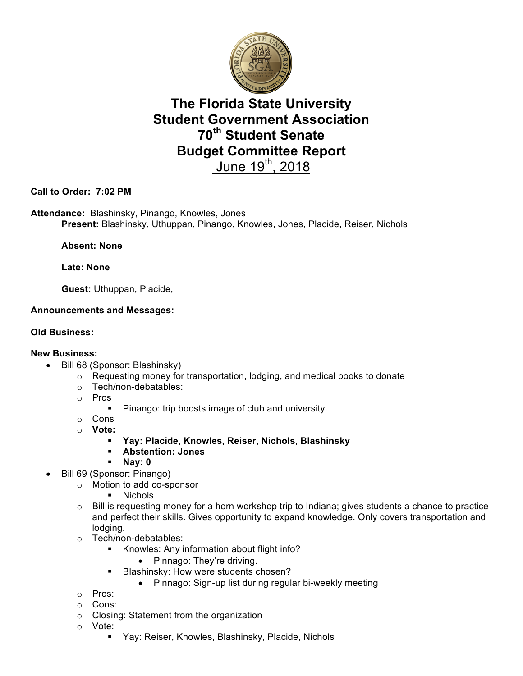

## **The Florida State University Student Government Association 70th Student Senate Budget Committee Report**  June  $19^{th}$ , 2018

**Call to Order: 7:02 PM**

**Attendance:** Blashinsky, Pinango, Knowles, Jones **Present:** Blashinsky, Uthuppan, Pinango, Knowles, Jones, Placide, Reiser, Nichols

**Absent: None**

**Late: None** 

**Guest:** Uthuppan, Placide,

#### **Announcements and Messages:**

#### **Old Business:**

#### **New Business:**

- Bill 68 (Sponsor: Blashinsky)
	- o Requesting money for transportation, lodging, and medical books to donate
	- o Tech/non-debatables:
	- o Pros
		- Pinango: trip boosts image of club and university
	- o Cons
	- o **Vote:**
		- § **Yay: Placide, Knowles, Reiser, Nichols, Blashinsky**
		- § **Abstention: Jones**
		- § **Nay: 0**
	- Bill 69 (Sponsor: Pinango)
		- o Motion to add co-sponsor
			- § Nichols
		- $\circ$  Bill is requesting money for a horn workshop trip to Indiana; gives students a chance to practice and perfect their skills. Gives opportunity to expand knowledge. Only covers transportation and lodging.
		- o Tech/non-debatables:
			- § Knowles: Any information about flight info?

• Pinnago: They're driving.

- **Blashinsky: How were students chosen?** 
	- Pinnago: Sign-up list during regular bi-weekly meeting
- o Pros:
- o Cons:
- o Closing: Statement from the organization
- o Vote:
	- Yay: Reiser, Knowles, Blashinsky, Placide, Nichols